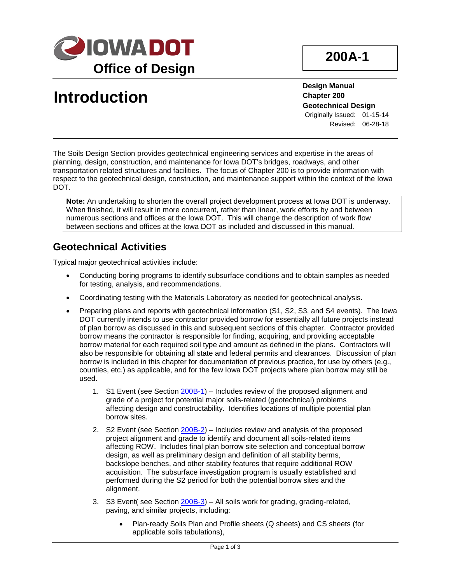

# **Introduction**

**Design Manual Chapter 200 Geotechnical Design** Originally Issued: 01-15-14 Revised: 06-28-18

The Soils Design Section provides geotechnical engineering services and expertise in the areas of planning, design, construction, and maintenance for Iowa DOT's bridges, roadways, and other transportation related structures and facilities. The focus of Chapter 200 is to provide information with respect to the geotechnical design, construction, and maintenance support within the context of the Iowa DOT.

**Note:** An undertaking to shorten the overall project development process at Iowa DOT is underway. When finished, it will result in more concurrent, rather than linear, work efforts by and between numerous sections and offices at the Iowa DOT. This will change the description of work flow between sections and offices at the Iowa DOT as included and discussed in this manual.

### **Geotechnical Activities**

Typical major geotechnical activities include:

- Conducting boring programs to identify subsurface conditions and to obtain samples as needed for testing, analysis, and recommendations.
- Coordinating testing with the Materials Laboratory as needed for geotechnical analysis.
- Preparing plans and reports with geotechnical information (S1, S2, S3, and S4 events). The Iowa DOT currently intends to use contractor provided borrow for essentially all future projects instead of plan borrow as discussed in this and subsequent sections of this chapter. Contractor provided borrow means the contractor is responsible for finding, acquiring, and providing acceptable borrow material for each required soil type and amount as defined in the plans. Contractors will also be responsible for obtaining all state and federal permits and clearances. Discussion of plan borrow is included in this chapter for documentation of previous practice, for use by others (e.g., counties, etc.) as applicable, and for the few Iowa DOT projects where plan borrow may still be used.
	- 1. S1 Event (see Section 200B-1) Includes review of the proposed alignment and grade of a project for potential major soils-related (geotechnical) problems affecting design and constructability. Identifies locations of multiple potential plan borrow sites.
	- 2. S2 Event (see Section 200B-2) Includes review and analysis of the proposed project alignment and grade to identify and document all soils-related items affecting ROW. Includes final plan borrow site selection and conceptual borrow design, as well as preliminary design and definition of all stability berms, backslope benches, and other stability features that require additional ROW acquisition. The subsurface investigation program is usually established and performed during the S2 period for both the potential borrow sites and the alignment.
	- 3. S3 Event( see Section 200B-3) All soils work for grading, grading-related, paving, and similar projects, including:
		- Plan-ready Soils Plan and Profile sheets (Q sheets) and CS sheets (for applicable soils tabulations),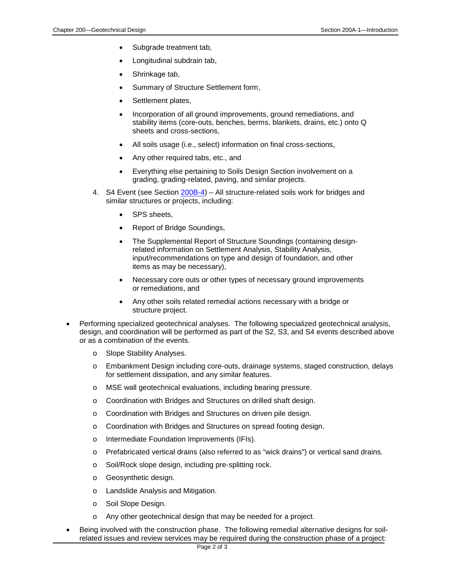- Subgrade treatment tab,
- Longitudinal subdrain tab,
- Shrinkage tab,
- Summary of Structure Settlement form,
- Settlement plates,
- Incorporation of all ground improvements, ground remediations, and stability items (core-outs, benches, berms, blankets, drains, etc.) onto Q sheets and cross-sections,
- All soils usage (i.e., select) information on final cross-sections,
- Any other required tabs, etc., and
- Everything else pertaining to Soils Design Section involvement on a grading, grading-related, paving, and similar projects.
- 4. S4 Event (see Section 200B-4) All structure-related soils work for bridges and similar structures or projects, including:
	- SPS sheets,
	- Report of Bridge Soundings,
	- The Supplemental Report of Structure Soundings (containing designrelated information on Settlement Analysis, Stability Analysis, input/recommendations on type and design of foundation, and other items as may be necessary),
	- Necessary core outs or other types of necessary ground improvements or remediations, and
	- Any other soils related remedial actions necessary with a bridge or structure project.
- Performing specialized geotechnical analyses. The following specialized geotechnical analysis, design, and coordination will be performed as part of the S2, S3, and S4 events described above or as a combination of the events.
	- o Slope Stability Analyses.
	- o Embankment Design including core-outs, drainage systems, staged construction, delays for settlement dissipation, and any similar features.
	- o MSE wall geotechnical evaluations, including bearing pressure.
	- o Coordination with Bridges and Structures on drilled shaft design.
	- o Coordination with Bridges and Structures on driven pile design.
	- o Coordination with Bridges and Structures on spread footing design.
	- o Intermediate Foundation Improvements (IFIs).
	- o Prefabricated vertical drains (also referred to as "wick drains") or vertical sand drains.
	- o Soil/Rock slope design, including pre-splitting rock.
	- o Geosynthetic design.
	- o Landslide Analysis and Mitigation.
	- o Soil Slope Design.
	- o Any other geotechnical design that may be needed for a project.
- Being involved with the construction phase. The following remedial alternative designs for soilrelated issues and review services may be required during the construction phase of a project: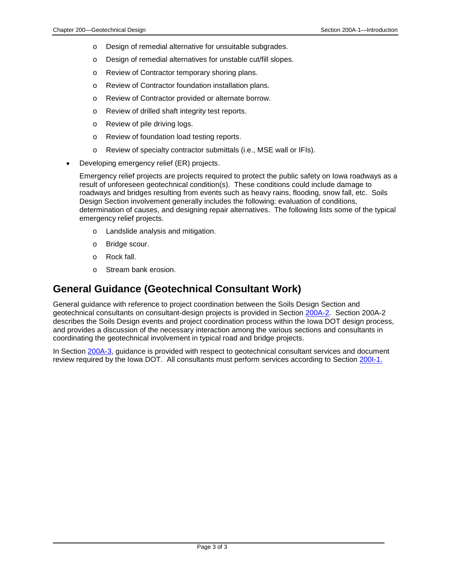- o Design of remedial alternative for unsuitable subgrades.
- o Design of remedial alternatives for unstable cut/fill slopes.
- o Review of Contractor temporary shoring plans.
- o Review of Contractor foundation installation plans.
- o Review of Contractor provided or alternate borrow.
- o Review of drilled shaft integrity test reports.
- o Review of pile driving logs.
- o Review of foundation load testing reports.
- o Review of specialty contractor submittals (i.e., MSE wall or IFIs).
- Developing emergency relief (ER) projects.

Emergency relief projects are projects required to protect the public safety on Iowa roadways as a result of unforeseen geotechnical condition(s). These conditions could include damage to roadways and bridges resulting from events such as heavy rains, flooding, snow fall, etc. Soils Design Section involvement generally includes the following: evaluation of conditions, determination of causes, and designing repair alternatives. The following lists some of the typical emergency relief projects.

- o Landslide analysis and mitigation.
- o Bridge scour.
- o Rock fall.
- o Stream bank erosion.

#### **General Guidance (Geotechnical Consultant Work)**

General guidance with reference to project coordination between the Soils Design Section and geotechnical consultants on consultant-design projects is provided in Section 200A-2. Section 200A-2 describes the Soils Design events and project coordination process within the Iowa DOT design process, and provides a discussion of the necessary interaction among the various sections and consultants in coordinating the geotechnical involvement in typical road and bridge projects.

In Section 200A-3, guidance is provided with respect to geotechnical consultant services and document review required by the Iowa DOT. All consultants must perform services according to Section 200I-1.